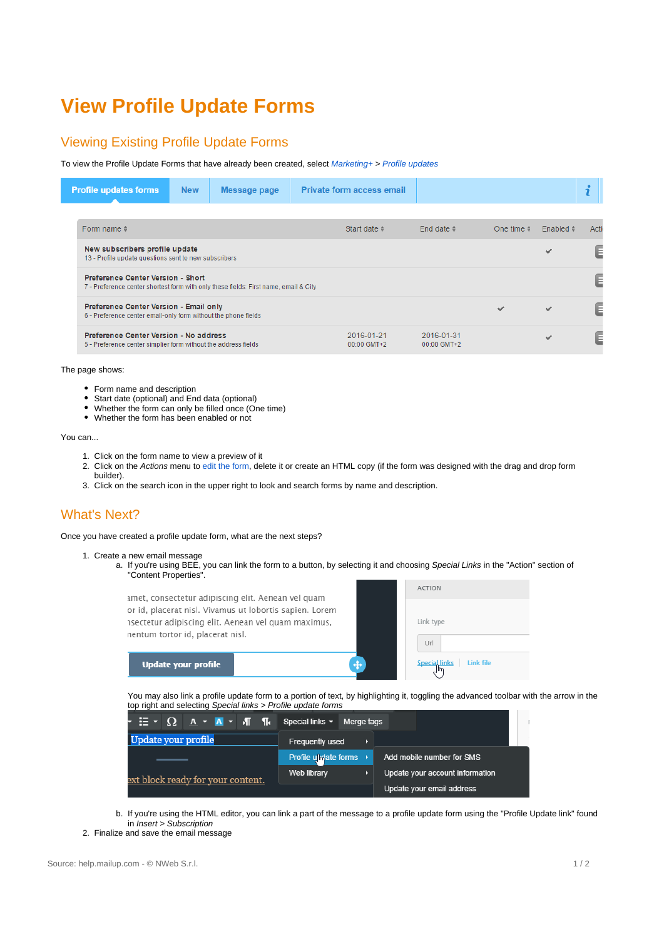## **View Profile Update Forms**

## Viewing Existing Profile Update Forms

To view the Profile Update Forms that have already been created, select Marketing+ > [Profile updates](https://help.mailup.com/display/MUG/Profile+Updates)

| <b>Profile updates forms</b>                                                                                    | <b>New</b>                                                                                                                       | Message page |  | <b>Private form access email</b> |                             |                    |                   |       |  |
|-----------------------------------------------------------------------------------------------------------------|----------------------------------------------------------------------------------------------------------------------------------|--------------|--|----------------------------------|-----------------------------|--------------------|-------------------|-------|--|
|                                                                                                                 |                                                                                                                                  |              |  |                                  |                             |                    |                   |       |  |
| Form name $\phi$                                                                                                |                                                                                                                                  |              |  | Start date                       | End date $\dagger$          | One time $\approx$ | Enabled $\approx$ | Actio |  |
| New subscribers profile update<br>$\checkmark$<br>13 - Profile update questions sent to new subscribers         |                                                                                                                                  |              |  |                                  |                             |                    |                   | E     |  |
|                                                                                                                 | <b>Preference Center Version - Short</b><br>7 - Preference center shortest form with only these fields: First name, email & City |              |  |                                  |                             |                    |                   | E     |  |
| <b>Preference Center Version - Email only</b><br>6 - Preference center email-only form without the phone fields |                                                                                                                                  |              |  |                                  |                             | $\checkmark$       | $\checkmark$      | E     |  |
| Preference Center Version - No address<br>5 - Preference center simplier form without the address fields        |                                                                                                                                  |              |  | 2016-01-21<br>$00:00$ GMT+2      | 2016-01-31<br>$00:00$ GMT+2 |                    |                   | E     |  |

The page shows:

- Form name and description
- Start date (optional) and End data (optional)
- Whether the form can only be filled once (One time)
- Whether the form has been enabled or not

You can...

- 1. Click on the form name to view a preview of it
- 2. Click on the Actions menu to [edit the form](https://help.mailup.com/display/MUG/Edit+Profile+Update+Form), delete it or create an HTML copy (if the form was designed with the drag and drop form builder).
- 3. Click on the search icon in the upper right to look and search forms by name and description.

## What's Next?

Once you have created a profile update form, what are the next steps?

- 1. Create a new email message
	- a. If you're using BEE, you can link the form to a button, by selecting it and choosing Special Links in the "Action" section of "Content Properties".



You may also link a profile update form to a portion of text, by highlighting it, toggling the advanced toolbar with the arrow in the top right and selecting Special links > Profile update forms

|                                   | Merge tags                        |                                 |
|-----------------------------------|-----------------------------------|---------------------------------|
| Update your profile               | Frequently used                   |                                 |
|                                   | Profile under forms $\rightarrow$ | Add mobile number for SMS       |
| ext block ready for your content. | <b>Web library</b>                | Update your account information |
|                                   |                                   | Update your email address       |

b. If you're using the HTML editor, you can link a part of the message to a profile update form using the "Profile Update link" found in Insert > Subscription

<sup>2.</sup>  Finalize and save the email message